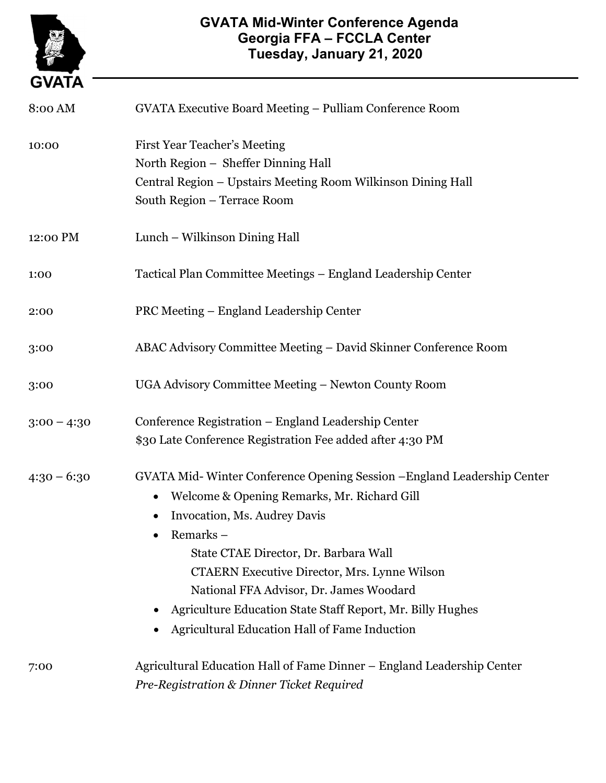

## GVATA Mid-Winter Conference Agenda Georgia FFA – FCCLA Center Tuesday, January 21, 2020

| 8:00 AM       | GVATA Executive Board Meeting - Pulliam Conference Room                                                                                                                                                                                                                                                                                                                                                                                           |
|---------------|---------------------------------------------------------------------------------------------------------------------------------------------------------------------------------------------------------------------------------------------------------------------------------------------------------------------------------------------------------------------------------------------------------------------------------------------------|
| 10:00         | <b>First Year Teacher's Meeting</b><br>North Region - Sheffer Dinning Hall<br>Central Region - Upstairs Meeting Room Wilkinson Dining Hall<br>South Region - Terrace Room                                                                                                                                                                                                                                                                         |
| 12:00 PM      | Lunch - Wilkinson Dining Hall                                                                                                                                                                                                                                                                                                                                                                                                                     |
| 1:00          | Tactical Plan Committee Meetings – England Leadership Center                                                                                                                                                                                                                                                                                                                                                                                      |
| 2:00          | PRC Meeting – England Leadership Center                                                                                                                                                                                                                                                                                                                                                                                                           |
| 3:00          | ABAC Advisory Committee Meeting - David Skinner Conference Room                                                                                                                                                                                                                                                                                                                                                                                   |
| 3:00          | UGA Advisory Committee Meeting - Newton County Room                                                                                                                                                                                                                                                                                                                                                                                               |
| $3:00 - 4:30$ | Conference Registration – England Leadership Center<br>\$30 Late Conference Registration Fee added after 4:30 PM                                                                                                                                                                                                                                                                                                                                  |
| $4:30 - 6:30$ | GVATA Mid-Winter Conference Opening Session - England Leadership Center<br>Welcome & Opening Remarks, Mr. Richard Gill<br>$\bullet$<br>Invocation, Ms. Audrey Davis<br>Remarks –<br>State CTAE Director, Dr. Barbara Wall<br><b>CTAERN Executive Director, Mrs. Lynne Wilson</b><br>National FFA Advisor, Dr. James Woodard<br>Agriculture Education State Staff Report, Mr. Billy Hughes<br><b>Agricultural Education Hall of Fame Induction</b> |
| 7:00          | Agricultural Education Hall of Fame Dinner – England Leadership Center<br>Pre-Registration & Dinner Ticket Required                                                                                                                                                                                                                                                                                                                               |